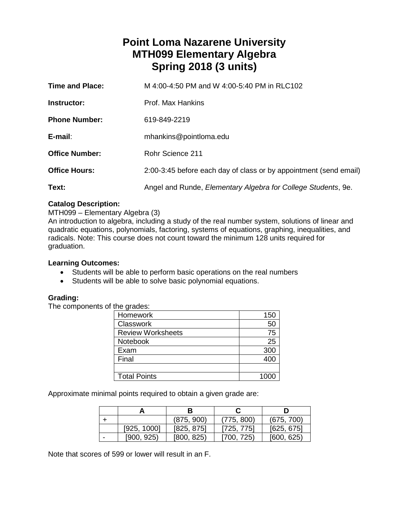# **Point Loma Nazarene University MTH099 Elementary Algebra Spring 2018 (3 units)**

| <b>Time and Place:</b> | M 4:00-4:50 PM and W 4:00-5:40 PM in RLC102                           |
|------------------------|-----------------------------------------------------------------------|
| Instructor:            | Prof. Max Hankins                                                     |
| <b>Phone Number:</b>   | 619-849-2219                                                          |
| E-mail:                | mhankins@pointloma.edu                                                |
| <b>Office Number:</b>  | Rohr Science 211                                                      |
| <b>Office Hours:</b>   | 2:00-3:45 before each day of class or by appointment (send email)     |
| Text:                  | Angel and Runde, <i>Elementary Algebra for College Students</i> , 9e. |

## **Catalog Description:**

## MTH099 – Elementary Algebra (3)

An introduction to algebra, including a study of the real number system, solutions of linear and quadratic equations, polynomials, factoring, systems of equations, graphing, inequalities, and radicals. Note: This course does not count toward the minimum 128 units required for graduation.

#### **Learning Outcomes:**

- Students will be able to perform basic operations on the real numbers
- Students will be able to solve basic polynomial equations.

## **Grading:**

The components of the grades:

| Homework                 | 150 |
|--------------------------|-----|
| Classwork                | 50  |
| <b>Review Worksheets</b> | 75  |
| Notebook                 | 25  |
| Exam                     | 300 |
| Final                    | 400 |
|                          |     |
| <b>Total Points</b>      |     |

Approximate minimal points required to obtain a given grade are:

|             | в          |            |            |
|-------------|------------|------------|------------|
|             | (875, 900) | (775, 800) | (675, 700) |
| [925, 1000] | [825, 875] | [725, 775] | [625, 675] |
| [900, 925]  | [800, 825] | 1700, 725) | [600, 625] |

Note that scores of 599 or lower will result in an F.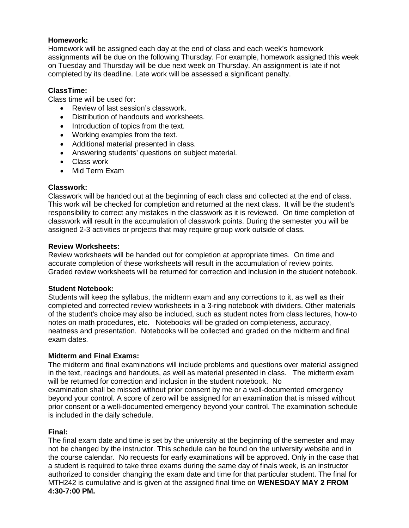## **Homework:**

Homework will be assigned each day at the end of class and each week's homework assignments will be due on the following Thursday. For example, homework assigned this week on Tuesday and Thursday will be due next week on Thursday. An assignment is late if not completed by its deadline. Late work will be assessed a significant penalty.

## **ClassTime:**

Class time will be used for:

- Review of last session's classwork.
- Distribution of handouts and worksheets.
- Introduction of topics from the text.
- Working examples from the text.
- Additional material presented in class.
- Answering students' questions on subject material.
- Class work
- Mid Term Exam

#### **Classwork:**

Classwork will be handed out at the beginning of each class and collected at the end of class. This work will be checked for completion and returned at the next class. It will be the student's responsibility to correct any mistakes in the classwork as it is reviewed. On time completion of classwork will result in the accumulation of classwork points. During the semester you will be assigned 2-3 activities or projects that may require group work outside of class.

#### **Review Worksheets:**

Review worksheets will be handed out for completion at appropriate times. On time and accurate completion of these worksheets will result in the accumulation of review points. Graded review worksheets will be returned for correction and inclusion in the student notebook.

#### **Student Notebook:**

Students will keep the syllabus, the midterm exam and any corrections to it, as well as their completed and corrected review worksheets in a 3-ring notebook with dividers. Other materials of the student's choice may also be included, such as student notes from class lectures, how-to notes on math procedures, etc. Notebooks will be graded on completeness, accuracy, neatness and presentation. Notebooks will be collected and graded on the midterm and final exam dates.

#### **Midterm and Final Exams:**

The midterm and final examinations will include problems and questions over material assigned in the text, readings and handouts, as well as material presented in class. The midterm exam will be returned for correction and inclusion in the student notebook. No

examination shall be missed without prior consent by me or a well-documented emergency beyond your control. A score of zero will be assigned for an examination that is missed without prior consent or a well-documented emergency beyond your control. The examination schedule is included in the daily schedule.

#### **Final:**

The final exam date and time is set by the university at the beginning of the semester and may not be changed by the instructor. This schedule can be found on the university website and in the course calendar. No requests for early examinations will be approved. Only in the case that a student is required to take three exams during the same day of finals week, is an instructor authorized to consider changing the exam date and time for that particular student. The final for MTH242 is cumulative and is given at the assigned final time on **WENESDAY MAY 2 FROM 4:30-7:00 PM.**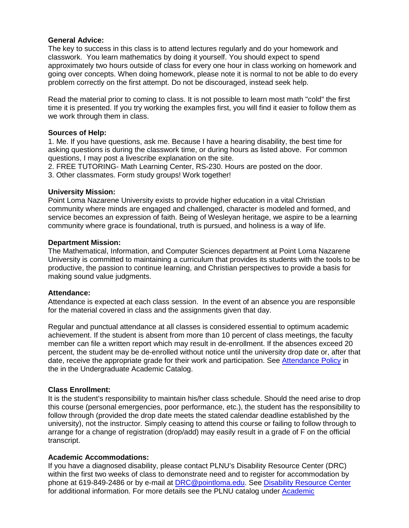#### **General Advice:**

The key to success in this class is to attend lectures regularly and do your homework and classwork. You learn mathematics by doing it yourself. You should expect to spend approximately two hours outside of class for every one hour in class working on homework and going over concepts. When doing homework, please note it is normal to not be able to do every problem correctly on the first attempt. Do not be discouraged, instead seek help.

Read the material prior to coming to class. It is not possible to learn most math "cold" the first time it is presented. If you try working the examples first, you will find it easier to follow them as we work through them in class.

#### **Sources of Help:**

1. Me. If you have questions, ask me. Because I have a hearing disability, the best time for asking questions is during the classwork time, or during hours as listed above. For common questions, I may post a livescribe explanation on the site.

2. FREE TUTORING- Math Learning Center, RS-230. Hours are posted on the door. 3. Other classmates. Form study groups! Work together!

#### **University Mission:**

Point Loma Nazarene University exists to provide higher education in a vital Christian community where minds are engaged and challenged, character is modeled and formed, and service becomes an expression of faith. Being of Wesleyan heritage, we aspire to be a learning community where grace is foundational, truth is pursued, and holiness is a way of life.

#### **Department Mission:**

The Mathematical, Information, and Computer Sciences department at Point Loma Nazarene University is committed to maintaining a curriculum that provides its students with the tools to be productive, the passion to continue learning, and Christian perspectives to provide a basis for making sound value judgments.

#### **Attendance:**

Attendance is expected at each class session. In the event of an absence you are responsible for the material covered in class and the assignments given that day.

Regular and punctual attendance at all classes is considered essential to optimum academic achievement. If the student is absent from more than 10 percent of class meetings, the faculty member can file a written report which may result in de-enrollment. If the absences exceed 20 percent, the student may be de-enrolled without notice until the university drop date or, after that date, receive the appropriate grade for their work and participation. See [Attendance Policy](https://catalog.pointloma.edu/content.php?catoid=28&navoid=1761#Class_Attendance) in the in the Undergraduate Academic Catalog.

## **Class Enrollment:**

It is the student's responsibility to maintain his/her class schedule. Should the need arise to drop this course (personal emergencies, poor performance, etc.), the student has the responsibility to follow through (provided the drop date meets the stated calendar deadline established by the university), not the instructor. Simply ceasing to attend this course or failing to follow through to arrange for a change of registration (drop/add) may easily result in a grade of F on the official transcript.

## **Academic Accommodations:**

If you have a diagnosed disability, please contact PLNU's Disability Resource Center (DRC) within the first two weeks of class to demonstrate need and to register for accommodation by phone at 619-849-2486 or by e-mail at [DRC@pointloma.edu.](mailto:DRC@pointloma.edu) See [Disability Resource Center](http://www.pointloma.edu/experience/offices/administrative-offices/academic-advising-office/disability-resource-center) for additional information. For more details see the PLNU catalog under [Academic](https://catalog.pointloma.edu/content.php?catoid=28&navoid=1761#Academic_Accommodations)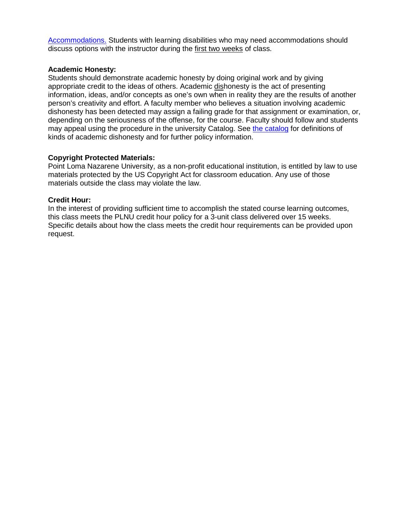[Accommodations.](https://catalog.pointloma.edu/content.php?catoid=28&navoid=1761#Academic_Accommodations) Students with learning disabilities who may need accommodations should discuss options with the instructor during the first two weeks of class.

#### **Academic Honesty:**

Students should demonstrate academic honesty by doing original work and by giving appropriate credit to the ideas of others. Academic dishonesty is the act of presenting information, ideas, and/or concepts as one's own when in reality they are the results of another person's creativity and effort. A faculty member who believes a situation involving academic dishonesty has been detected may assign a failing grade for that assignment or examination, or, depending on the seriousness of the offense, for the course. Faculty should follow and students may appeal using the procedure in the university Catalog. See [the catalog](https://catalog.pointloma.edu/content.php?catoid=28&navoid=1761#Academic_Honesty) for definitions of kinds of academic dishonesty and for further policy information.

#### **Copyright Protected Materials:**

Point Loma Nazarene University, as a non-profit educational institution, is entitled by law to use materials protected by the US Copyright Act for classroom education. Any use of those materials outside the class may violate the law.

#### **Credit Hour:**

In the interest of providing sufficient time to accomplish the stated course learning outcomes, this class meets the PLNU credit hour policy for a 3-unit class delivered over 15 weeks. Specific details about how the class meets the credit hour requirements can be provided upon request.